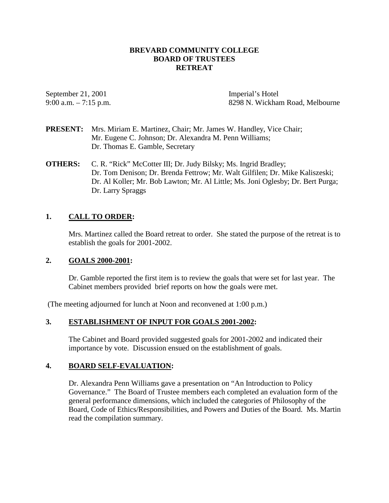## **BREVARD COMMUNITY COLLEGE BOARD OF TRUSTEES RETREAT**

September 21, 2001 Imperial's Hotel

9:00 a.m. – 7:15 p.m. 8298 N. Wickham Road, Melbourne

- **PRESENT:** Mrs. Miriam E. Martinez, Chair; Mr. James W. Handley, Vice Chair; Mr. Eugene C. Johnson; Dr. Alexandra M. Penn Williams; Dr. Thomas E. Gamble, Secretary
- **OTHERS:** C. R. "Rick" McCotter III; Dr. Judy Bilsky; Ms. Ingrid Bradley; Dr. Tom Denison; Dr. Brenda Fettrow; Mr. Walt Gilfilen; Dr. Mike Kaliszeski; Dr. Al Koller; Mr. Bob Lawton; Mr. Al Little; Ms. Joni Oglesby; Dr. Bert Purga; Dr. Larry Spraggs

# **1. CALL TO ORDER:**

Mrs. Martinez called the Board retreat to order. She stated the purpose of the retreat is to establish the goals for 2001-2002.

### **2. GOALS 2000-2001:**

Dr. Gamble reported the first item is to review the goals that were set for last year. The Cabinet members provided brief reports on how the goals were met.

(The meeting adjourned for lunch at Noon and reconvened at 1:00 p.m.)

## **3. ESTABLISHMENT OF INPUT FOR GOALS 2001-2002:**

The Cabinet and Board provided suggested goals for 2001-2002 and indicated their importance by vote. Discussion ensued on the establishment of goals.

## **4. BOARD SELF-EVALUATION:**

Dr. Alexandra Penn Williams gave a presentation on "An Introduction to Policy Governance." The Board of Trustee members each completed an evaluation form of the general performance dimensions, which included the categories of Philosophy of the Board, Code of Ethics/Responsibilities, and Powers and Duties of the Board. Ms. Martin read the compilation summary.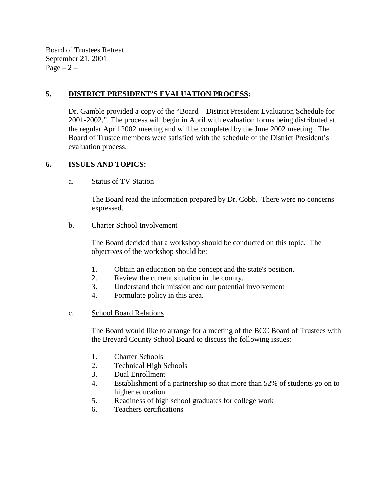Board of Trustees Retreat September 21, 2001  $Page - 2 -$ 

# **5. DISTRICT PRESIDENT'S EVALUATION PROCESS:**

Dr. Gamble provided a copy of the "Board – District President Evaluation Schedule for 2001-2002." The process will begin in April with evaluation forms being distributed at the regular April 2002 meeting and will be completed by the June 2002 meeting. The Board of Trustee members were satisfied with the schedule of the District President's evaluation process.

# **6. ISSUES AND TOPICS:**

## a. Status of TV Station

The Board read the information prepared by Dr. Cobb. There were no concerns expressed.

## b. Charter School Involvement

The Board decided that a workshop should be conducted on this topic. The objectives of the workshop should be:

- 1. Obtain an education on the concept and the state's position.
- 2. Review the current situation in the county.
- 3. Understand their mission and our potential involvement
- 4. Formulate policy in this area.

# c. School Board Relations

The Board would like to arrange for a meeting of the BCC Board of Trustees with the Brevard County School Board to discuss the following issues:

- 1. Charter Schools
- 2. Technical High Schools
- 3. Dual Enrollment
- 4. Establishment of a partnership so that more than 52% of students go on to higher education
- 5. Readiness of high school graduates for college work
- 6. Teachers certifications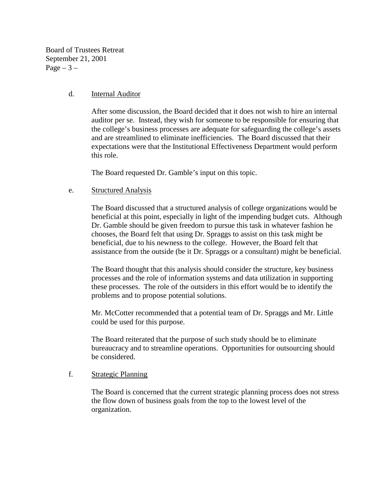Board of Trustees Retreat September 21, 2001  $Page - 3 -$ 

### d. Internal Auditor

After some discussion, the Board decided that it does not wish to hire an internal auditor per se. Instead, they wish for someone to be responsible for ensuring that the college's business processes are adequate for safeguarding the college's assets and are streamlined to eliminate inefficiencies. The Board discussed that their expectations were that the Institutional Effectiveness Department would perform this role.

The Board requested Dr. Gamble's input on this topic.

### e. Structured Analysis

The Board discussed that a structured analysis of college organizations would be beneficial at this point, especially in light of the impending budget cuts. Although Dr. Gamble should be given freedom to pursue this task in whatever fashion he chooses, the Board felt that using Dr. Spraggs to assist on this task might be beneficial, due to his newness to the college. However, the Board felt that assistance from the outside (be it Dr. Spraggs or a consultant) might be beneficial.

The Board thought that this analysis should consider the structure, key business processes and the role of information systems and data utilization in supporting these processes. The role of the outsiders in this effort would be to identify the problems and to propose potential solutions.

Mr. McCotter recommended that a potential team of Dr. Spraggs and Mr. Little could be used for this purpose.

The Board reiterated that the purpose of such study should be to eliminate bureaucracy and to streamline operations. Opportunities for outsourcing should be considered.

## f. Strategic Planning

The Board is concerned that the current strategic planning process does not stress the flow down of business goals from the top to the lowest level of the organization.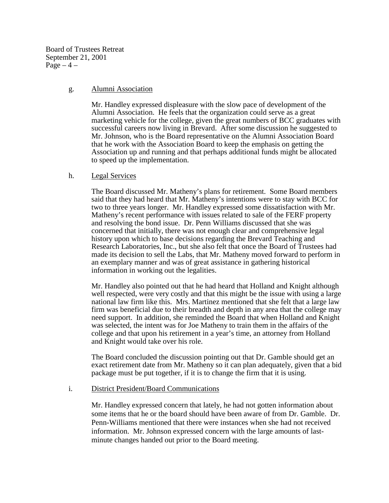Board of Trustees Retreat September 21, 2001 Page  $-4$  –

### g. Alumni Association

Mr. Handley expressed displeasure with the slow pace of development of the Alumni Association. He feels that the organization could serve as a great marketing vehicle for the college, given the great numbers of BCC graduates with successful careers now living in Brevard. After some discussion he suggested to Mr. Johnson, who is the Board representative on the Alumni Association Board that he work with the Association Board to keep the emphasis on getting the Association up and running and that perhaps additional funds might be allocated to speed up the implementation.

### h. Legal Services

The Board discussed Mr. Matheny's plans for retirement. Some Board members said that they had heard that Mr. Matheny's intentions were to stay with BCC for two to three years longer. Mr. Handley expressed some dissatisfaction with Mr. Matheny's recent performance with issues related to sale of the FERF property and resolving the bond issue. Dr. Penn Williams discussed that she was concerned that initially, there was not enough clear and comprehensive legal history upon which to base decisions regarding the Brevard Teaching and Research Laboratories, Inc., but she also felt that once the Board of Trustees had made its decision to sell the Labs, that Mr. Matheny moved forward to perform in an exemplary manner and was of great assistance in gathering historical information in working out the legalities.

Mr. Handley also pointed out that he had heard that Holland and Knight although well respected, were very costly and that this might be the issue with using a large national law firm like this. Mrs. Martinez mentioned that she felt that a large law firm was beneficial due to their breadth and depth in any area that the college may need support. In addition, she reminded the Board that when Holland and Knight was selected, the intent was for Joe Matheny to train them in the affairs of the college and that upon his retirement in a year's time, an attorney from Holland and Knight would take over his role.

The Board concluded the discussion pointing out that Dr. Gamble should get an exact retirement date from Mr. Matheny so it can plan adequately, given that a bid package must be put together, if it is to change the firm that it is using.

### i. District President/Board Communications

Mr. Handley expressed concern that lately, he had not gotten information about some items that he or the board should have been aware of from Dr. Gamble. Dr. Penn-Williams mentioned that there were instances when she had not received information. Mr. Johnson expressed concern with the large amounts of lastminute changes handed out prior to the Board meeting.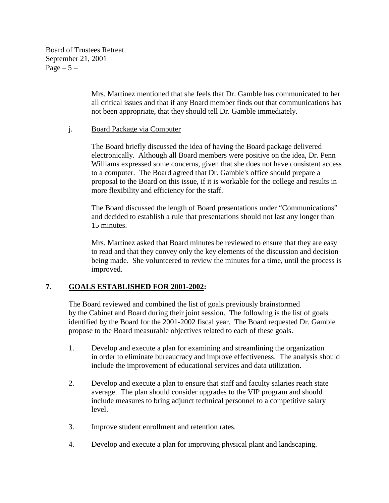Board of Trustees Retreat September 21, 2001 Page  $-5-$ 

> Mrs. Martinez mentioned that she feels that Dr. Gamble has communicated to her all critical issues and that if any Board member finds out that communications has not been appropriate, that they should tell Dr. Gamble immediately.

## j. Board Package via Computer

The Board briefly discussed the idea of having the Board package delivered electronically. Although all Board members were positive on the idea, Dr. Penn Williams expressed some concerns, given that she does not have consistent access to a computer. The Board agreed that Dr. Gamble's office should prepare a proposal to the Board on this issue, if it is workable for the college and results in more flexibility and efficiency for the staff.

The Board discussed the length of Board presentations under "Communications" and decided to establish a rule that presentations should not last any longer than 15 minutes.

Mrs. Martinez asked that Board minutes be reviewed to ensure that they are easy to read and that they convey only the key elements of the discussion and decision being made. She volunteered to review the minutes for a time, until the process is improved.

# **7. GOALS ESTABLISHED FOR 2001-2002:**

The Board reviewed and combined the list of goals previously brainstormed by the Cabinet and Board during their joint session. The following is the list of goals identified by the Board for the 2001-2002 fiscal year. The Board requested Dr. Gamble propose to the Board measurable objectives related to each of these goals.

- 1. Develop and execute a plan for examining and streamlining the organization in order to eliminate bureaucracy and improve effectiveness. The analysis should include the improvement of educational services and data utilization.
- 2. Develop and execute a plan to ensure that staff and faculty salaries reach state average. The plan should consider upgrades to the VIP program and should include measures to bring adjunct technical personnel to a competitive salary level.
- 3. Improve student enrollment and retention rates.
- 4. Develop and execute a plan for improving physical plant and landscaping.